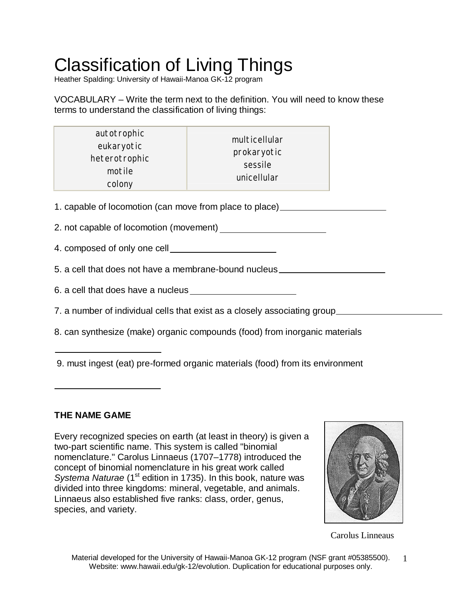# Classification of Living Things

Heather Spalding: University of Hawaii-Manoa GK-12 program

VOCABULARY – Write the term next to the definition. You will need to know these terms to understand the classification of living things:

| autotrophic   | multicellular |  |
|---------------|---------------|--|
| eukaryotic    | prokaryotic   |  |
| heterotrophic | sessile       |  |
| motile        | unicellular   |  |
| colony        |               |  |

1. capable of locomotion (can move from place to place)

- 2. not capable of locomotion (movement)
- 4. composed of only one cell
- 5. a cell that does not have a membrane-bound nucleus
- 6. a cell that does have a nucleus
- 7. a number of individual cells that exist as a closely associating group
- 8. can synthesize (make) organic compounds (food) from inorganic materials
- 9. must ingest (eat) pre-formed organic materials (food) from its environment

### **THE NAME GAME**

Every recognized species on earth (at least in theory) is given a two-part scientific name. This system is called "binomial nomenclature." Carolus Linnaeus (1707–1778) introduced the concept of binomial nomenclature in his great work called *Systema Naturae* (1<sup>st</sup> edition in 1735). In this book, nature was divided into three kingdoms: mineral, vegetable, and animals. Linnaeus also established five ranks: class, order, genus, species, and variety.



Carolus Linneaus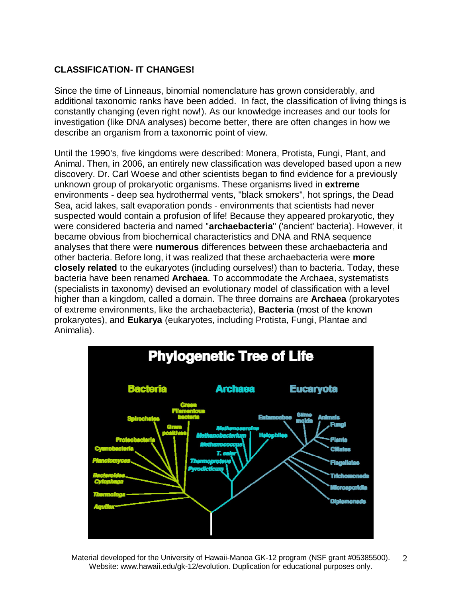#### **CLASSIFICATION- IT CHANGES!**

Since the time of Linneaus, binomial nomenclature has grown considerably, and additional taxonomic ranks have been added. In fact, the classification of living things is constantly changing (even right now!). As our knowledge increases and our tools for investigation (like DNA analyses) become better, there are often changes in how we describe an organism from a taxonomic point of view.

Until the 1990's, five kingdoms were described: Monera, Protista, Fungi, Plant, and Animal. Then, in 2006, an entirely new classification was developed based upon a new discovery. Dr. Carl Woese and other scientists began to find evidence for a previously unknown group of prokaryotic organisms. These organisms lived in **extreme** environments - deep sea hydrothermal vents, "black smokers", hot springs, the Dead Sea, acid lakes, salt evaporation ponds - environments that scientists had never suspected would contain a profusion of life! Because they appeared prokaryotic, they were considered bacteria and named "**archaebacteria**" ('ancient' bacteria). However, it became obvious from biochemical characteristics and DNA and RNA sequence analyses that there were **numerous** differences between these archaebacteria and other bacteria. Before long, it was realized that these archaebacteria were **more closely related** to the eukaryotes (including ourselves!) than to bacteria. Today, these bacteria have been renamed **Archaea**. To accommodate the Archaea, systematists (specialists in taxonomy) devised an evolutionary model of classification with a level higher than a kingdom, called a domain. The three domains are **Archaea** (prokaryotes of extreme environments, like the archaebacteria), **Bacteria** (most of the known prokaryotes), and **Eukarya** (eukaryotes, including Protista, Fungi, Plantae and Animalia).



Material developed for the University of Hawaii-Manoa GK-12 program (NSF grant #05385500). Website: www.hawaii.edu/gk-12/evolution. Duplication for educational purposes only.  $\mathcal{D}_{\mathcal{L}}$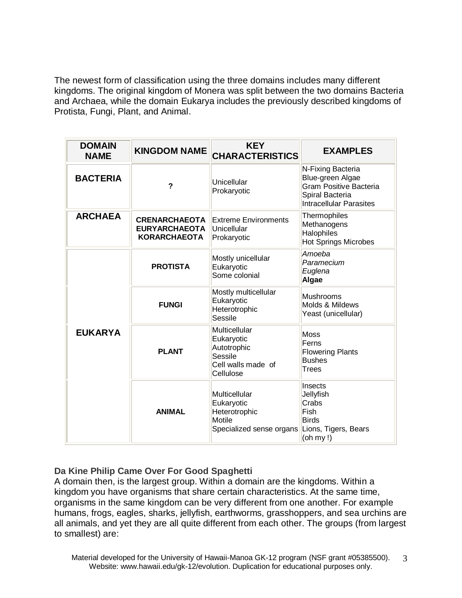The newest form of classification using the three domains includes many different kingdoms. The original kingdom of Monera was split between the two domains Bacteria and Archaea, while the domain Eukarya includes the previously described kingdoms of Protista, Fungi, Plant, and Animal.

| <b>DOMAIN</b><br><b>NAME</b> | <b>KINGDOM NAME</b>                                                 | <b>KEY</b><br><b>CHARACTERISTICS</b>                                                     | <b>EXAMPLES</b>                                                                                                      |  |
|------------------------------|---------------------------------------------------------------------|------------------------------------------------------------------------------------------|----------------------------------------------------------------------------------------------------------------------|--|
| <b>BACTERIA</b>              | ?                                                                   | Unicellular<br>Prokaryotic                                                               | N-Fixing Bacteria<br>Blue-green Algae<br>Gram Positive Bacteria<br>Spiral Bacteria<br><b>Intracellular Parasites</b> |  |
| <b>ARCHAEA</b>               | <b>CRENARCHAEOTA</b><br><b>EURYARCHAEOTA</b><br><b>KORARCHAEOTA</b> | <b>Extreme Environments</b><br>Unicellular<br>Prokaryotic                                | Thermophiles<br>Methanogens<br>Halophiles<br><b>Hot Springs Microbes</b>                                             |  |
| <b>EUKARYA</b>               | <b>PROTISTA</b>                                                     | Mostly unicellular<br>Eukaryotic<br>Some colonial                                        | Amoeba<br>Paramecium<br>Euglena<br>Algae                                                                             |  |
|                              | <b>FUNGI</b>                                                        | Mostly multicellular<br>Eukaryotic<br>Heterotrophic<br>Sessile                           | <b>Mushrooms</b><br>Molds & Mildews<br>Yeast (unicellular)                                                           |  |
|                              | <b>PLANT</b>                                                        | Multicellular<br>Eukaryotic<br>Autotrophic<br>Sessile<br>Cell walls made of<br>Cellulose | Moss<br>Ferns<br><b>Flowering Plants</b><br><b>Bushes</b><br>Trees                                                   |  |
|                              | <b>ANIMAL</b>                                                       | Multicellular<br>Eukaryotic<br>Heterotrophic<br>Motile<br>Specialized sense organs       | Insects<br>Jellyfish<br>Crabs<br>Fish<br><b>Birds</b><br>Lions, Tigers, Bears<br>(oh my!)                            |  |

#### **Da Kine Philip Came Over For Good Spaghetti**

A domain then, is the largest group. Within a domain are the kingdoms. Within a kingdom you have organisms that share certain characteristics. At the same time, organisms in the same kingdom can be very different from one another. For example humans, frogs, eagles, sharks, jellyfish, earthworms, grasshoppers, and sea urchins are all animals, and yet they are all quite different from each other. The groups (from largest to smallest) are: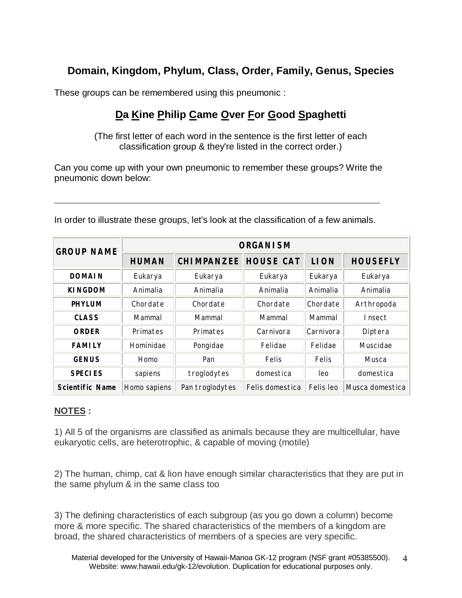## **Domain, Kingdom, Phylum, Class, Order, Family, Genus, Species**

These groups can be remembered using this pneumonic :

# **Da Kine Philip Came Over For Good Spaghetti**

(The first letter of each word in the sentence is the first letter of each classification group & they're listed in the correct order.)

Can you come up with your own pneumonic to remember these groups? Write the pneumonic down below:

| <b>GROUP NAME</b>      | <b>ORGANISM</b> |                   |                  |             |                 |  |
|------------------------|-----------------|-------------------|------------------|-------------|-----------------|--|
|                        | <b>HUMAN</b>    | <b>CHIMPANZEE</b> | <b>HOUSE CAT</b> | <b>LION</b> | <b>HOUSEFLY</b> |  |
| <b>DOMAIN</b>          | Eukarya         | Eukarya           | Eukarya          | Eukarya     | Eukarya         |  |
| <b>KINGDOM</b>         | Animalia        | Animalia          | Animalia         | Animalia    | Animalia        |  |
| <b>PHYLUM</b>          | Chordate        | Chordate          | Chordate         | Chordate    | Arthropoda      |  |
| <b>CLASS</b>           | Mammal          | Mammal            | Mammal           | Mammal      | Insect          |  |
| <b>ORDER</b>           | Primates        | Primates          | Carnivora        | Carnivora   | Diptera         |  |
| <b>FAMILY</b>          | Hominidae       | Pongidae          | Felidae          | Felidae     | Muscidae        |  |
| <b>GENUS</b>           | Homo            | Pan               | <b>Felis</b>     | Felis       | Musca           |  |
| <b>SPECIES</b>         | sapiens         | troglodytes       | domestica        | leo         | domestica       |  |
| <b>Scientific Name</b> | Homo sapiens    | Pan troglodytes   | Felis domestica  | Felis leo   | Musca domestica |  |

In order to illustrate these groups, let's look at the classification of a few animals.

#### **NOTES :**

1) All 5 of the organisms are classified as animals because they are multicellular, have eukaryotic cells, are heterotrophic, & capable of moving (motile)

2) The human, chimp, cat & lion have enough similar characteristics that they are put in the same phylum & in the same class too

3) The defining characteristics of each subgroup (as you go down a column) become more & more specific. The shared characteristics of the members of a kingdom are broad, the shared characteristics of members of a species are very specific.

Material developed for the University of Hawaii-Manoa GK-12 program (NSF grant #05385500). Website: www.hawaii.edu/gk-12/evolution. Duplication for educational purposes only. 4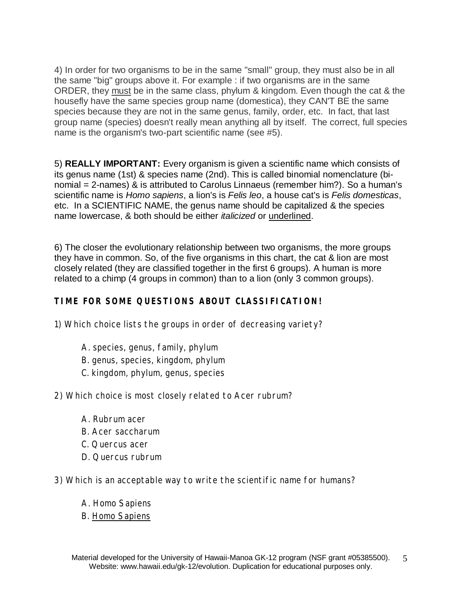4) In order for two organisms to be in the same "small" group, they must also be in all the same "big" groups above it. For example : if two organisms are in the same ORDER, they must be in the same class, phylum & kingdom. Even though the cat & the housefly have the same species group name (domestica), they CAN'T BE the same species because they are not in the same genus, family, order, etc. In fact, that last group name (species) doesn't really mean anything all by itself. The correct, full species name is the organism's two-part scientific name (see #5).

5) **REALLY IMPORTANT:** Every organism is given a scientific name which consists of its genus name (1st) & species name (2nd). This is called binomial nomenclature (binomial = 2-names) & is attributed to Carolus Linnaeus (remember him?). So a human's scientific name is *Homo sapiens*, a lion's is *Felis leo*, a house cat's is *Felis domesticas*, etc. In a SCIENTIFIC NAME, the genus name should be capitalized & the species name lowercase, & both should be either *italicized* or underlined.

6) The closer the evolutionary relationship between two organisms, the more groups they have in common. So, of the five organisms in this chart, the cat & lion are most closely related (they are classified together in the first 6 groups). A human is more related to a chimp (4 groups in common) than to a lion (only 3 common groups).

#### **TIME FOR SOME QUESTIONS ABOUT CLASSIFICATION!**

1) Which choice lists the groups in order of decreasing variety?

- A. species, genus, family, phylum
- B. genus, species, kingdom, phylum
- C. kingdom, phylum, genus, species
- 2) Which choice is most closely related to *Acer rubrum*?
	- A. *Rubrum acer*
	- B. *Acer saccharum*
	- C. *Quercus acer*
	- D. *Quercus rubrum*
- 3) Which is an acceptable way to write the scientific name for humans?
	- A. *Homo Sapiens*
	- B. Homo Sapiens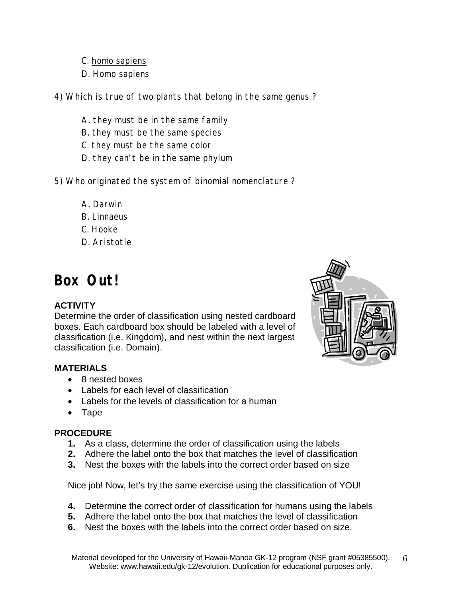- C. homo sapiens
- D. *Homo sapiens*
- 4) Which is true of two plants that belong in the same genus ?
	- A. they must be in the same family
	- B. they must be the same species
	- C. they must be the same color
	- D. they can't be in the same phylum
- 5) Who originated the system of binomial nomenclature ?
	- A. Darwin
	- B. Linnaeus
	- C. Hooke
	- D. Aristotle

# **Box Out!**

#### **ACTIVITY**

Determine the order of classification using nested cardboard boxes. Each cardboard box should be labeled with a level of classification (i.e. Kingdom), and nest within the next largest classification (i.e. Domain).

#### **MATERIALS**

- 8 nested boxes
- Labels for each level of classification
- Labels for the levels of classification for a human
- Tape

#### **PROCEDURE**

- **1.** As a class, determine the order of classification using the labels
- **2.** Adhere the label onto the box that matches the level of classification
- **3.** Nest the boxes with the labels into the correct order based on size

Nice job! Now, let's try the same exercise using the classification of YOU!

- **4.** Determine the correct order of classification for humans using the labels
- **5.** Adhere the label onto the box that matches the level of classification
- **6.** Nest the boxes with the labels into the correct order based on size.